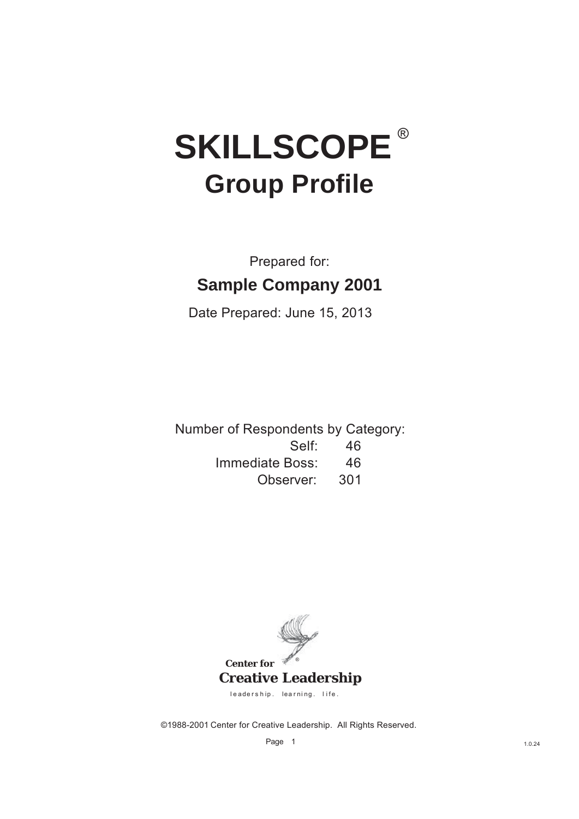# **SKILLSCOPE® Group Profile**

## Prepared for: **Sample Company 2001**

Date Prepared: June 15, 2013

Number of Respondents by Category: Self: 46

Immediate Boss: 46

Observer: 301



©1988-2001 Center for Creative Leadership. All Rights Reserved.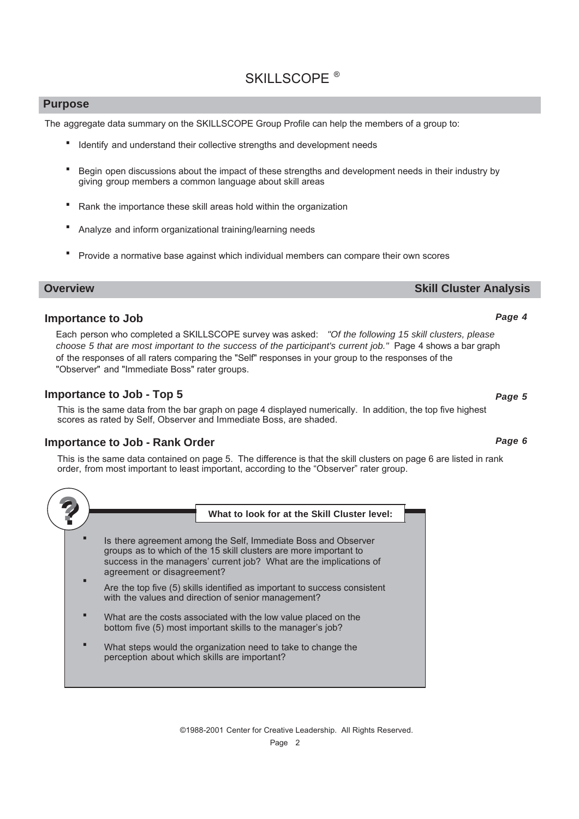#### **Purpose**

The aggregate data summary on the SKILLSCOPE Group Profile can help the members of a group to:

- **•** Identify and understand their collective strengths and development needs
- Begin open discussions about the impact of these strengths and development needs in their industry by giving group members a common language about skill areas **·**
- Rank the importance these skill areas hold within the organization **·**
- Analyze and inform organizational training/learning needs **·**
- Provide a normative base against which individual members can compare their own scores **·**

#### **Overview Skill Cluster Analysis**

#### **Importance to Job**

Each person who completed a SKILLSCOPE survey was asked: "Of the following 15 skill clusters, please *choose 5 that are most important to the success of the participant's current job."* Page 4 shows a bar graph of the responses of all raters comparing the "Self" responses in your group to the responses of the "Observer" and "Immediate Boss" rater groups.

#### **Importance to Job - Top 5**

This is the same data from the bar graph on page 4 displayed numerically. In addition, the top five highest scores as rated by Self, Observer and Immediate Boss, are shaded.

#### **Importance to Job - Rank Order**

This is the same data contained on page 5. The difference is that the skill clusters on page 6 are listed in rank order, from most important to least important, according to the "Observer" rater group.



Page 2

*Page 4*

*Page 5*

*Page 6*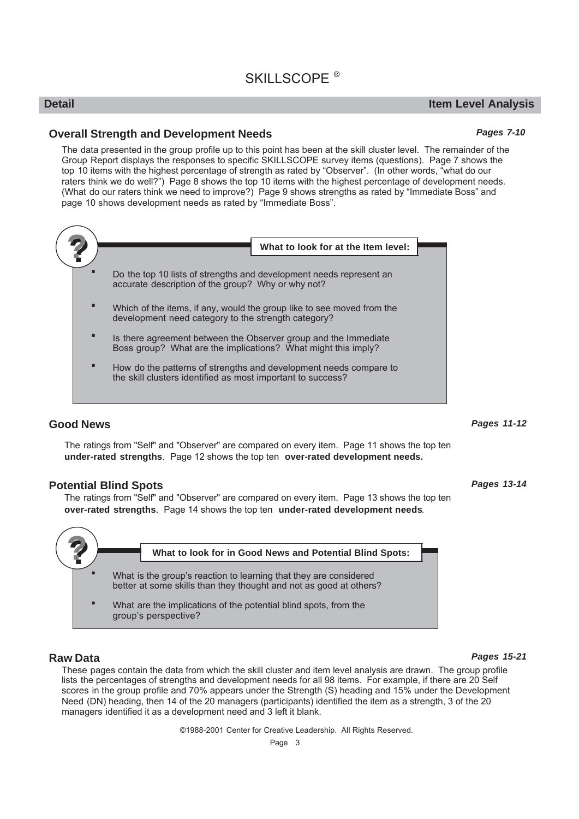#### **Detail Item Level Analysis**

*Pages 7-10*

#### **Overall Strength and Development Needs**

The data presented in the group profile up to this point has been at the skill cluster level. The remainder of the Group Report displays the responses to specific SKILLSCOPE survey items (questions). Page 7 shows the top 10 items with the highest percentage of strength as rated by "Observer". (In other words, "what do our raters think we do well?") Page 8 shows the top 10 items with the highest percentage of development needs. (What do our raters think we need to improve?) Page 9 shows strengths as rated by "Immediate Boss" and page 10 shows development needs as rated by "Immediate Boss".



#### **Good News**

The ratings from "Self" and "Observer" are compared on every item. Page 11 shows the top ten **under-rated strengths.** Page 12 shows the top ten over-rated development needs.

#### **Potential Blind Spots**

The ratings from "Self" and "Observer" are compared on every item. Page 13 shows the top ten **over-rated strengths**. Page 14 shows the top ten under-rated development needs.



#### **Raw Data**

These pages contain the data from which the skill cluster and item level analysis are drawn. The group profile lists the percentages of strengths and development needs for all 98 items. For example, if there are 20 Self scores in the group profile and 70% appears under the Strength (S) heading and 15% under the Development Need (DN) heading, then 14 of the 20 managers (participants) identified the item as a strength, 3 of the 20 managers identified it as a development need and 3 left it blank.

©1988-2001 Center for Creative Leadership. All Rights Reserved.

#### *Pages 15-21*

*Pages 11-12*

*Pages 13-14*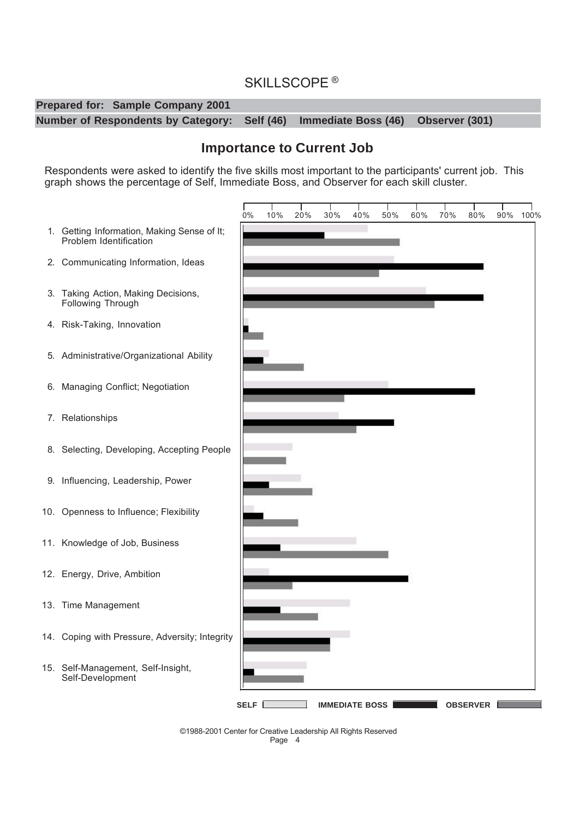

#### **Importance to Current Job**

Respondents were asked to identify the five skills most important to the participants' current job. This graph shows the percentage of Self, Immediate Boss, and Observer for each skill cluster.

- 1. Getting Information, Making Sense of It; Problem Identification
- 2. Communicating Information, Ideas
- 3. Taking Action, Making Decisions, Following Through
- 4. Risk-Taking, Innovation
- 5. Administrative/Organizational Ability
- 6. Managing Conflict; Negotiation
- 7. Relationships
- 8. Selecting, Developing, Accepting People
- 9. Influencing, Leadership, Power
- 10. Openness to Influence; Flexibility
- 11. Knowledge of Job, Business
- 12. Energy, Drive, Ambition
- 13. Time Management
- 14. Coping with Pressure, Adversity; Integrity
- 15. Self-Management, Self-Insight, Self-Development



Page 4 ©1988-2001 Center for Creative Leadership All Rights Reserved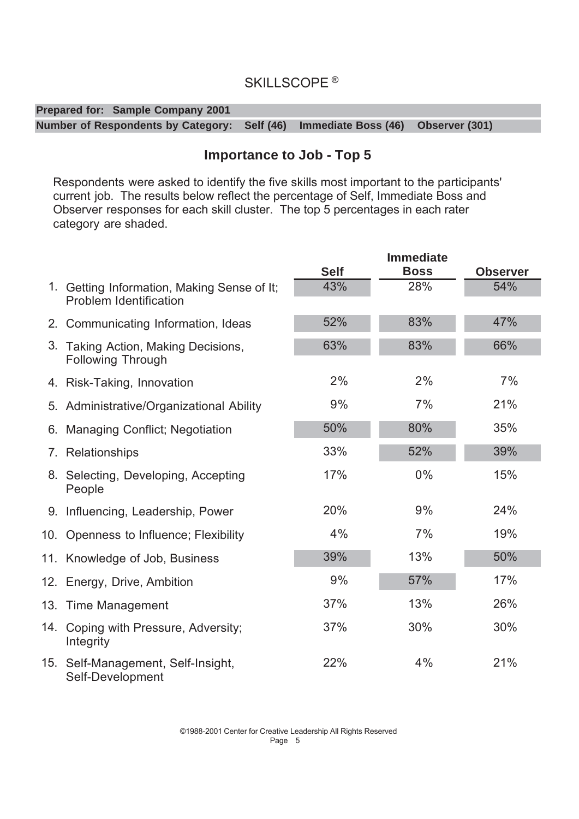| <b>Prepared for: Sample Company 2001</b>                                        |  |  |
|---------------------------------------------------------------------------------|--|--|
| Number of Respondents by Category: Self (46) Immediate Boss (46) Observer (301) |  |  |

#### **Importance to Job - Top 5**

Respondents were asked to identify the five skills most important to the participants' current job. The results below reflect the percentage of Self, Immediate Boss and Observer responses for each skill cluster. The top 5 percentages in each rater category are shaded.

|     |                                                                              |             | <b>Immediate</b> |                 |
|-----|------------------------------------------------------------------------------|-------------|------------------|-----------------|
|     |                                                                              | <b>Self</b> | <b>Boss</b>      | <b>Observer</b> |
|     | 1. Getting Information, Making Sense of It;<br><b>Problem Identification</b> | 43%         | 28%              | 54%             |
|     | 2. Communicating Information, Ideas                                          | 52%         | 83%              | 47%             |
| 3.  | Taking Action, Making Decisions,<br><b>Following Through</b>                 | 63%         | 83%              | 66%             |
|     | 4. Risk-Taking, Innovation                                                   | 2%          | 2%               | 7%              |
|     | 5. Administrative/Organizational Ability                                     | 9%          | 7%               | 21%             |
|     | 6. Managing Conflict; Negotiation                                            | 50%         | 80%              | 35%             |
|     | 7. Relationships                                                             | 33%         | 52%              | 39%             |
|     | 8. Selecting, Developing, Accepting<br>People                                | 17%         | 0%               | 15%             |
|     | 9. Influencing, Leadership, Power                                            | 20%         | 9%               | 24%             |
|     | 10. Openness to Influence; Flexibility                                       | 4%          | 7%               | 19%             |
|     | 11. Knowledge of Job, Business                                               | 39%         | 13%              | 50%             |
|     | 12. Energy, Drive, Ambition                                                  | 9%          | 57%              | 17%             |
|     | 13. Time Management                                                          | 37%         | 13%              | 26%             |
| 14. | Coping with Pressure, Adversity;<br>Integrity                                | 37%         | 30%              | 30%             |
| 15. | Self-Management, Self-Insight,<br>Self-Development                           | 22%         | 4%               | 21%             |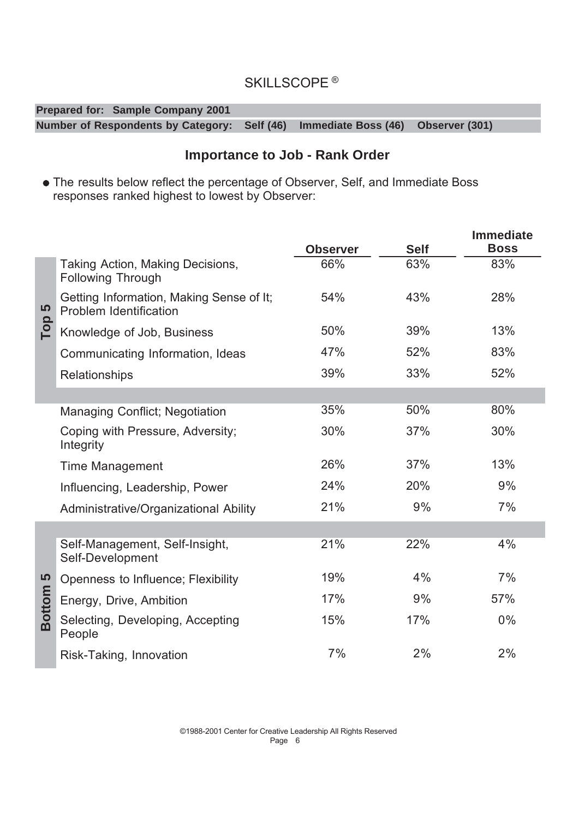#### **Prepared for: Sample Company 2001 Number of Respondents by Category: Self (46) Immediate Boss (46) Observer (301)**

#### **Importance to Job - Rank Order**

• The results below reflect the percentage of Observer, Self, and Immediate Boss responses ranked highest to lowest by Observer:

|                     |                                                                           | <b>Observer</b> | <b>Self</b> | <b>Immediate</b><br><b>Boss</b> |
|---------------------|---------------------------------------------------------------------------|-----------------|-------------|---------------------------------|
|                     | Taking Action, Making Decisions,<br><b>Following Through</b>              | 66%             | 63%         | 83%                             |
| 5                   | Getting Information, Making Sense of It;<br><b>Problem Identification</b> | 54%             | 43%         | 28%                             |
| Top                 | Knowledge of Job, Business                                                | 50%             | 39%         | 13%                             |
|                     | Communicating Information, Ideas                                          | 47%             | 52%         | 83%                             |
|                     | Relationships                                                             | 39%             | 33%         | 52%                             |
|                     |                                                                           |                 |             |                                 |
|                     | Managing Conflict; Negotiation                                            | 35%             | 50%         | 80%                             |
|                     | Coping with Pressure, Adversity;<br>Integrity                             | 30%             | 37%         | 30%                             |
|                     | <b>Time Management</b>                                                    | 26%             | 37%         | 13%                             |
|                     | Influencing, Leadership, Power                                            | 24%             | 20%         | 9%                              |
|                     | Administrative/Organizational Ability                                     | 21%             | 9%          | 7%                              |
|                     |                                                                           |                 |             |                                 |
|                     | Self-Management, Self-Insight,<br>Self-Development                        | 21%             | 22%         | 4%                              |
|                     | Openness to Influence; Flexibility                                        | 19%             | 4%          | 7%                              |
|                     | Energy, Drive, Ambition                                                   | 17%             | 9%          | 57%                             |
| Bottom <sub>5</sub> | Selecting, Developing, Accepting<br>People                                | 15%             | 17%         | 0%                              |
|                     | Risk-Taking, Innovation                                                   | 7%              | 2%          | 2%                              |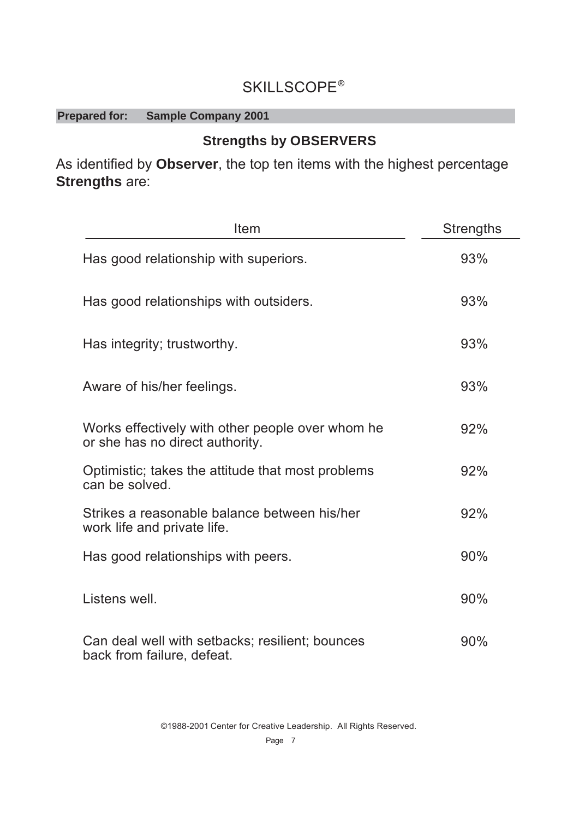#### **Prepared for: Sample Company 2001**

#### **Strengths by OBSERVERS**

As identified by Observer, the top ten items with the highest percentage **Strengths** are:

| Item                                                                                | <b>Strengths</b> |
|-------------------------------------------------------------------------------------|------------------|
| Has good relationship with superiors.                                               | 93%              |
| Has good relationships with outsiders.                                              | 93%              |
| Has integrity; trustworthy.                                                         | 93%              |
| Aware of his/her feelings.                                                          | 93%              |
| Works effectively with other people over whom he<br>or she has no direct authority. | 92%              |
| Optimistic; takes the attitude that most problems<br>can be solved.                 | 92%              |
| Strikes a reasonable balance between his/her<br>work life and private life.         | 92%              |
| Has good relationships with peers.                                                  | 90%              |
| Listens well.                                                                       | 90%              |
| Can deal well with setbacks; resilient; bounces<br>back from failure, defeat.       | 90%              |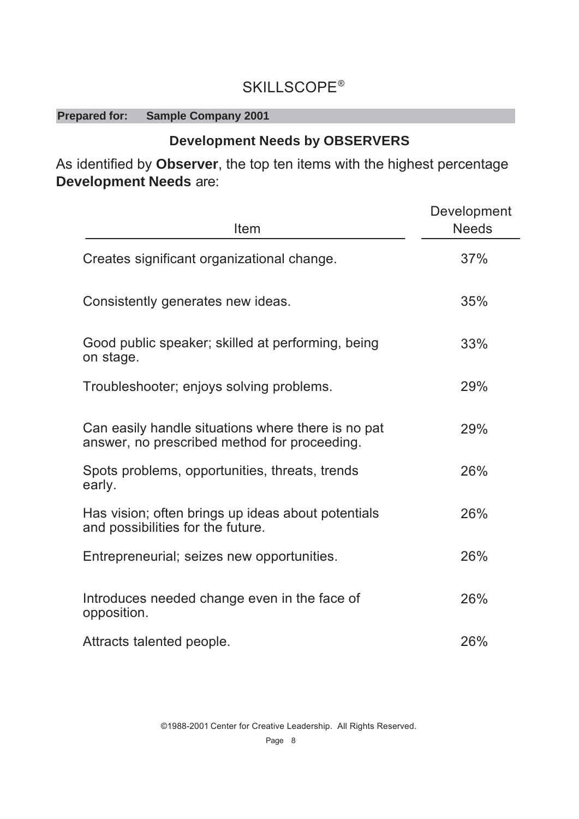### **SKILLSCOPE®**

#### **Prepared for: Sample Company 2001**

### **Development Needs by OBSERVERS**

As identified by Observer, the top ten items with the highest percentage **Development Needs are:** 

| Item                                                                                               | Development<br><b>Needs</b> |
|----------------------------------------------------------------------------------------------------|-----------------------------|
| Creates significant organizational change.                                                         | 37%                         |
| Consistently generates new ideas.                                                                  | 35%                         |
| Good public speaker; skilled at performing, being<br>on stage.                                     | 33%                         |
| Troubleshooter; enjoys solving problems.                                                           | 29%                         |
| Can easily handle situations where there is no pat<br>answer, no prescribed method for proceeding. | 29%                         |
| Spots problems, opportunities, threats, trends<br>early.                                           | 26%                         |
| Has vision; often brings up ideas about potentials<br>and possibilities for the future.            | 26%                         |
| Entrepreneurial; seizes new opportunities.                                                         | 26%                         |
| Introduces needed change even in the face of<br>opposition.                                        | 26%                         |
| Attracts talented people.                                                                          | 26%                         |

©1988-2001 Center for Creative Leadership. All Rights Reserved.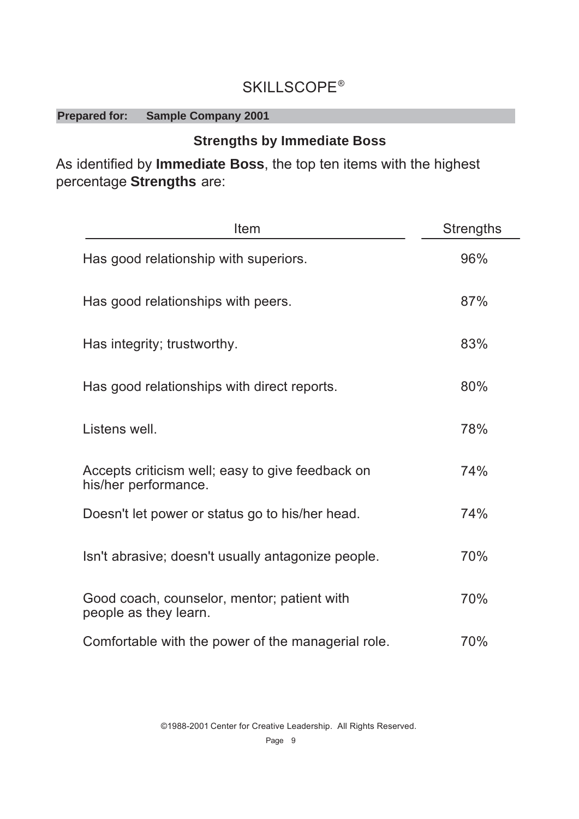#### **Prepared for: Sample Company 2001**

### **Strengths by Immediate Boss**

As identified by Immediate Boss, the top ten items with the highest percentage Strengths are:

| Item                                                                     | <b>Strengths</b> |
|--------------------------------------------------------------------------|------------------|
| Has good relationship with superiors.                                    | 96%              |
| Has good relationships with peers.                                       | 87%              |
| Has integrity; trustworthy.                                              | 83%              |
| Has good relationships with direct reports.                              | 80%              |
| Listens well.                                                            | 78%              |
| Accepts criticism well; easy to give feedback on<br>his/her performance. | 74%              |
| Doesn't let power or status go to his/her head.                          | 74%              |
| Isn't abrasive; doesn't usually antagonize people.                       | 70%              |
| Good coach, counselor, mentor; patient with<br>people as they learn.     | 70%              |
| Comfortable with the power of the managerial role.                       | 70%              |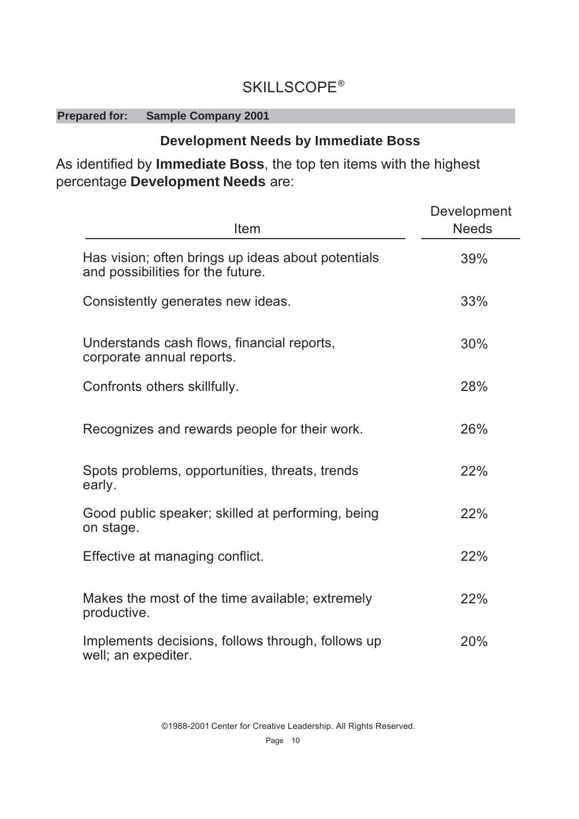### **SKILLSCOPE®**

#### **Prepared for: Sample Company 2001**

#### **Development Needs by Immediate Boss**

As identified by Immediate Boss, the top ten items with the highest percentage Development Needs are:

| Item                                                                                    | Development<br><b>Needs</b> |
|-----------------------------------------------------------------------------------------|-----------------------------|
| Has vision; often brings up ideas about potentials<br>and possibilities for the future. | 39%                         |
| Consistently generates new ideas.                                                       | 33%                         |
| Understands cash flows, financial reports,<br>corporate annual reports.                 | 30%                         |
| Confronts others skillfully.                                                            | 28%                         |
| Recognizes and rewards people for their work.                                           | 26%                         |
| Spots problems, opportunities, threats, trends<br>early.                                | 22%                         |
| Good public speaker; skilled at performing, being<br>on stage.                          | 22%                         |
| Effective at managing conflict.                                                         | 22%                         |
| Makes the most of the time available; extremely<br>productive.                          | 22%                         |
| Implements decisions, follows through, follows up<br>well; an expediter.                | 20%                         |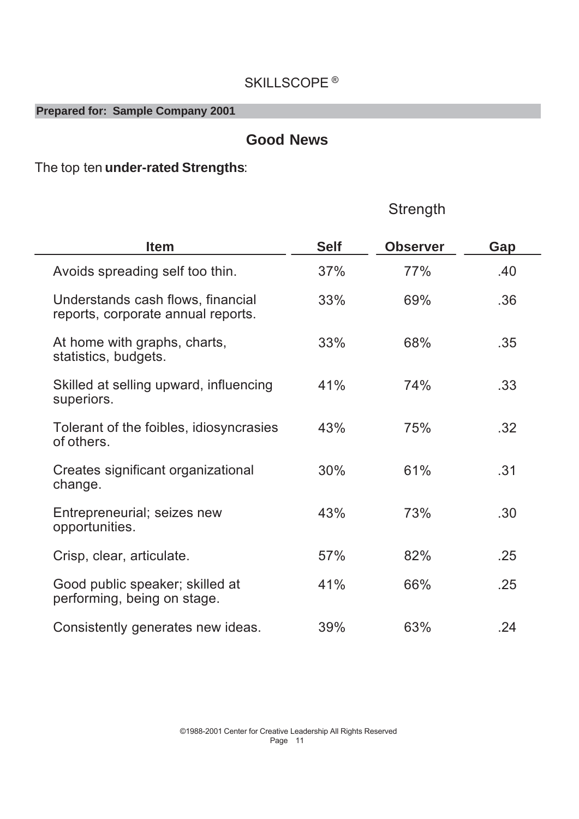#### **Prepared for: Sample Company 2001**

#### **Good News**

Strenath

### The top ten *under-rated Strengths*:

| <b>Item</b>                                                             | <b>Self</b> | <b>Observer</b> | Gap |  |
|-------------------------------------------------------------------------|-------------|-----------------|-----|--|
| Avoids spreading self too thin.                                         | 37%         | 77%             | .40 |  |
| Understands cash flows, financial<br>reports, corporate annual reports. | 33%         | 69%             | .36 |  |
| At home with graphs, charts,<br>statistics, budgets.                    | 33%         | 68%             | .35 |  |
| Skilled at selling upward, influencing<br>superiors.                    | 41%         | 74%             | .33 |  |
| Tolerant of the foibles, idiosyncrasies<br>of others.                   | 43%         | 75%             | .32 |  |
| Creates significant organizational<br>change.                           | 30%         | 61%             | .31 |  |
| Entrepreneurial; seizes new<br>opportunities.                           | 43%         | 73%             | .30 |  |
| Crisp, clear, articulate.                                               | 57%         | 82%             | .25 |  |
| Good public speaker; skilled at<br>performing, being on stage.          | 41%         | 66%             | .25 |  |
| Consistently generates new ideas.                                       | 39%         | 63%             | .24 |  |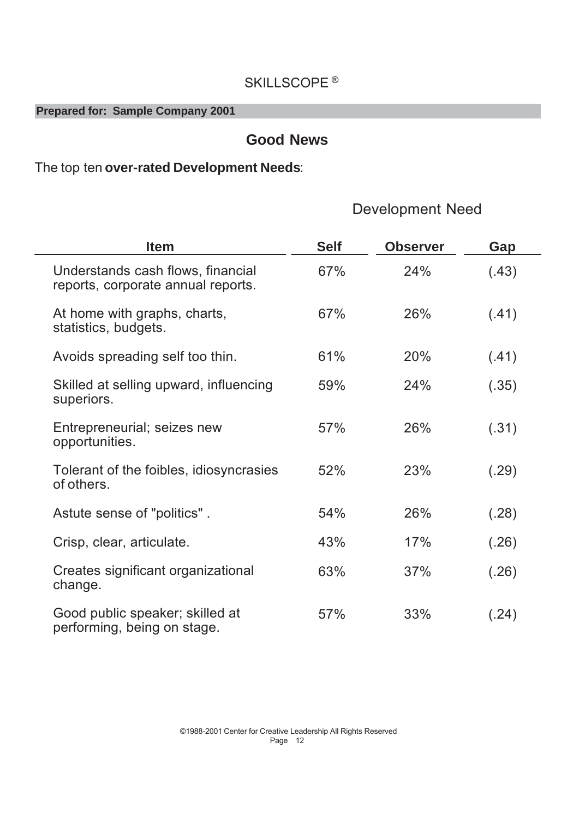**Prepared for: Sample Company 2001**

### **Good News**

### The top ten over-rated Development Needs:

### Development Need

| <b>Item</b>                                                             | <b>Self</b> | <b>Observer</b> | Gap   |
|-------------------------------------------------------------------------|-------------|-----------------|-------|
| Understands cash flows, financial<br>reports, corporate annual reports. | 67%         | 24%             | (.43) |
| At home with graphs, charts,<br>statistics, budgets.                    | 67%         | 26%             | (.41) |
| Avoids spreading self too thin.                                         | 61%         | 20%             | (.41) |
| Skilled at selling upward, influencing<br>superiors.                    | 59%         | 24%             | (.35) |
| Entrepreneurial; seizes new<br>opportunities.                           | 57%         | 26%             | (.31) |
| Tolerant of the foibles, idiosyncrasies<br>of others.                   | 52%         | 23%             | (.29) |
| Astute sense of "politics".                                             | 54%         | 26%             | (.28) |
| Crisp, clear, articulate.                                               | 43%         | 17%             | (.26) |
| Creates significant organizational<br>change.                           | 63%         | 37%             | (.26) |
| Good public speaker; skilled at<br>performing, being on stage.          | 57%         | 33%             | (.24) |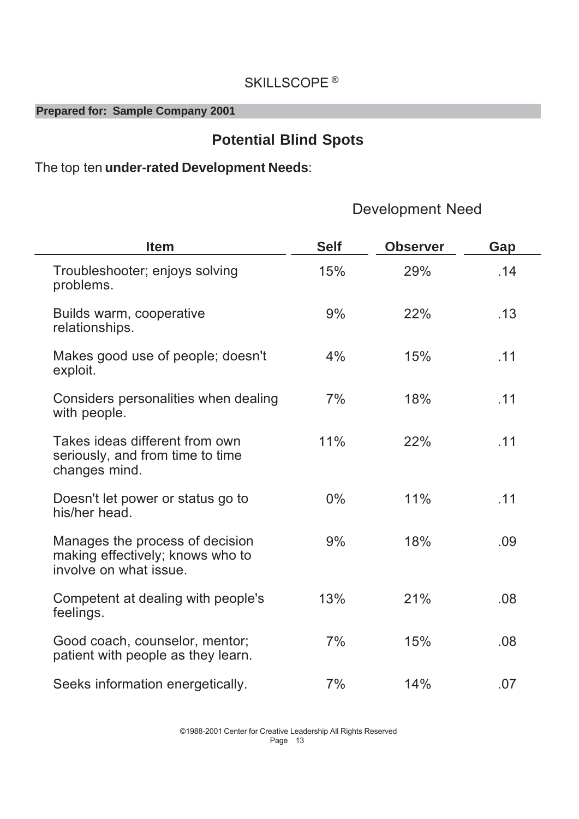**Prepared for: Sample Company 2001** 

### **Potential Blind Spots**

### The top ten under-rated Development Needs:

### **Development Need**

| <b>Item</b>                                                                                   | <b>Self</b> | <b>Observer</b> | Gap |
|-----------------------------------------------------------------------------------------------|-------------|-----------------|-----|
| Troubleshooter; enjoys solving<br>problems.                                                   | 15%         | 29%             | .14 |
| Builds warm, cooperative<br>relationships.                                                    | 9%          | 22%             | .13 |
| Makes good use of people; doesn't<br>exploit.                                                 | 4%          | 15%             | .11 |
| Considers personalities when dealing<br>with people.                                          | 7%          | 18%             | .11 |
| Takes ideas different from own<br>seriously, and from time to time<br>changes mind.           | 11%         | 22%             | .11 |
| Doesn't let power or status go to<br>his/her head.                                            | $0\%$       | 11%             | .11 |
| Manages the process of decision<br>making effectively; knows who to<br>involve on what issue. | 9%          | 18%             | .09 |
| Competent at dealing with people's<br>feelings.                                               | 13%         | 21%             | .08 |
| Good coach, counselor, mentor;<br>patient with people as they learn.                          | 7%          | 15%             | .08 |
| Seeks information energetically.                                                              | 7%          | 14%             | .07 |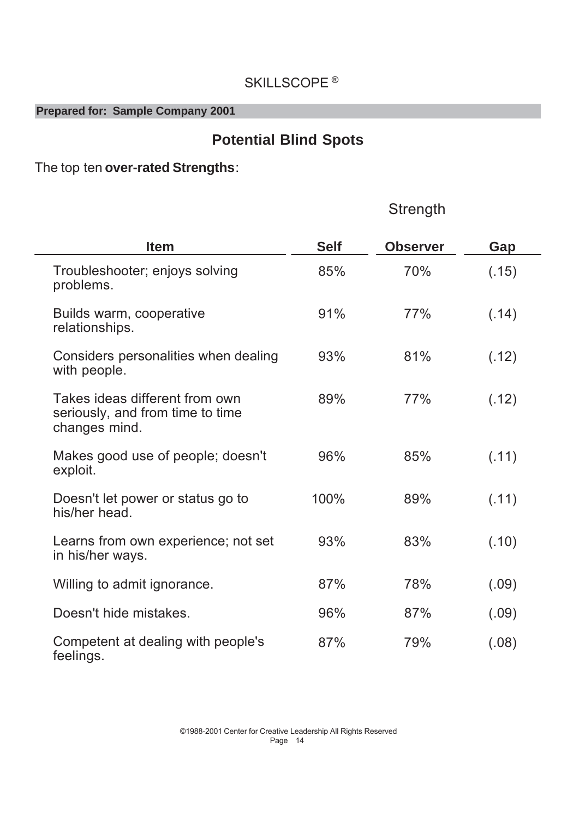#### **Prepared for: Sample Company 2001**

### **Potential Blind Spots**

Strength

The top ten over-rated Strengths:

#### Troubleshooter; enjoys solving problems. 85% 70% (.15) Builds warm, cooperative relationships. 91% 77% (.14) Considers personalities when dealing with people. 93% 81% (.12) Takes ideas different from own seriously, and from time to time changes mind. 89% 77% (.12) Makes good use of people; doesn't exploit. 96% 85% (.11) Doesn't let power or status go to his/her head. 100% 89% (.11) Learns from own experience; not set in his/her ways. 93% 83% (.10) Willing to admit ignorance.  $87\%$  78% (.09) 'RHVQ WKLGHPLVWDNHV  Competent at dealing with people's feelings. 87% 79% (.08) **Item Self Observer Gap**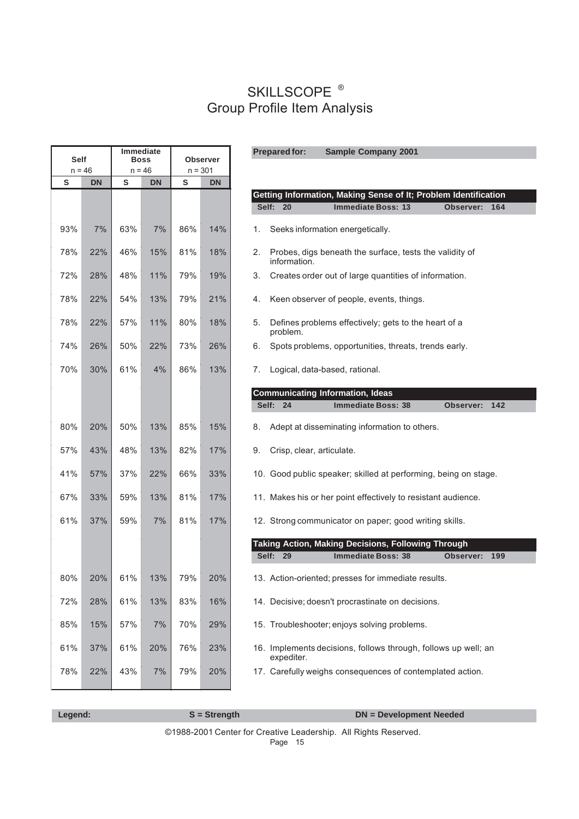| Self     |           | <b>Boss</b> | Immediate |                | Observer  | <b>Prepared for:</b><br><b>Sample Company 2001</b>                            |  |
|----------|-----------|-------------|-----------|----------------|-----------|-------------------------------------------------------------------------------|--|
| $n = 46$ |           |             | $n = 46$  | $n = 301$<br>S |           |                                                                               |  |
| S        | <b>DN</b> | S           | DN        |                | <b>DN</b> | Getting Information, Making Sense of It; Problem Identification               |  |
|          |           |             |           |                |           | Self: 20<br><b>Immediate Boss: 13</b><br>Observer: 164                        |  |
| 93%      | 7%        | 63%         | 7%        | 86%            | 14%       | Seeks information energetically.<br>1.                                        |  |
| 78%      | 22%       | 46%         | 15%       | 81%            | 18%       | Probes, digs beneath the surface, tests the validity of<br>2.<br>information. |  |
| 72%      | 28%       | 48%         | 11%       | 79%            | 19%       | Creates order out of large quantities of information.<br>3.                   |  |
| 78%      | 22%       | 54%         | 13%       | 79%            | 21%       | Keen observer of people, events, things.<br>4.                                |  |
| 78%      | 22%       | 57%         | 11%       | 80%            | 18%       | Defines problems effectively; gets to the heart of a<br>5.<br>problem.        |  |
| 74%      | 26%       | 50%         | 22%       | 73%            | 26%       | Spots problems, opportunities, threats, trends early.<br>6.                   |  |
| 70%      | 30%       | 61%         | 4%        | 86%            | 13%       | Logical, data-based, rational.<br>7.                                          |  |
|          |           |             |           |                |           | <b>Communicating Information, Ideas</b>                                       |  |
|          |           |             |           |                |           | Self: 24<br><b>Immediate Boss: 38</b><br>Observer: 142                        |  |
| 80%      | 20%       | 50%         | 13%       | 85%            | 15%       | Adept at disseminating information to others.<br>8.                           |  |
| 57%      | 43%       | 48%         | 13%       | 82%            | 17%       | Crisp, clear, articulate.<br>9.                                               |  |
| 41%      | 57%       | 37%         | 22%       | 66%            | 33%       | 10. Good public speaker; skilled at performing, being on stage.               |  |
| 67%      | 33%       | 59%         | 13%       | 81%            | 17%       | 11. Makes his or her point effectively to resistant audience.                 |  |
| 61%      | 37%       | 59%         | 7%        | 81%            | 17%       | 12. Strong communicator on paper; good writing skills.                        |  |
|          |           |             |           |                |           | Taking Action, Making Decisions, Following Through                            |  |
|          |           |             |           |                |           | Self: 29<br><b>Immediate Boss: 38</b><br>Observer: 199                        |  |
| 80%      | 20%       | 61%         | 13%       | 79%            | 20%       | 13. Action-oriented; presses for immediate results.                           |  |
| 72%      | 28%       | 61%         | 13%       | 83%            | 16%       | 14. Decisive; doesn't procrastinate on decisions.                             |  |
| 85%      | 15%       | 57%         | 7%        | 70%            | 29%       | 15. Troubleshooter; enjoys solving problems.                                  |  |
| 61%      | 37%       | 61%         | 20%       | 76%            | 23%       | 16. Implements decisions, follows through, follows up well; an<br>expediter.  |  |
| 78%      | 22%       | 43%         | 7%        | 79%            | 20%       | 17. Carefully weighs consequences of contemplated action.                     |  |

©1988-2001 Center for Creative Leadership. All Rights Reserved.

Page 15

 **Legend:** S = Strength DN = Development Needed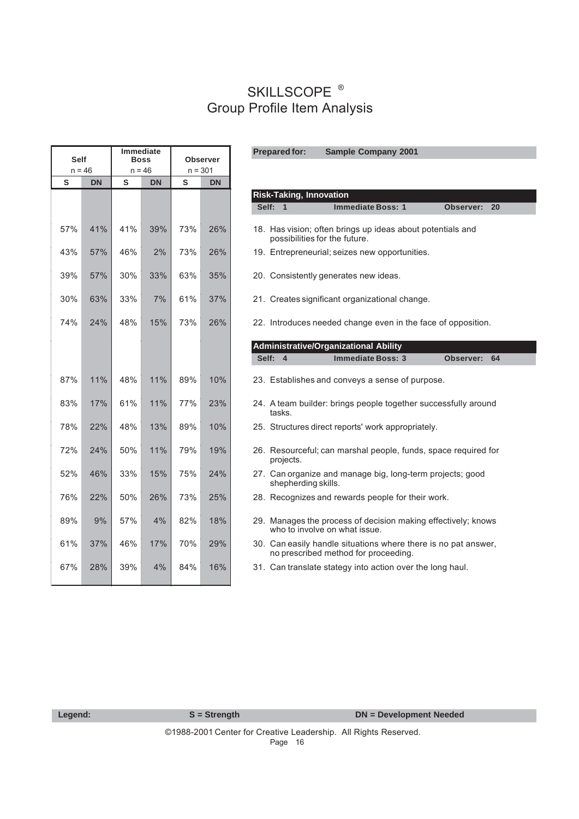**Prepared for:**

| $n = 46$<br>$n = 46$<br>$n = 301$                                                                                   |
|---------------------------------------------------------------------------------------------------------------------|
| S<br><b>DN</b><br>S<br><b>DN</b><br>S<br><b>DN</b>                                                                  |
| <b>Risk-Taking, Innovation</b>                                                                                      |
| Self: 1                                                                                                             |
| 57%<br>41%<br>41%<br>73%<br>26%<br>39%<br>18. Has vision; often brings up ideas a<br>possibilities for the future.  |
| 57%<br>46%<br>2%<br>73%<br>26%<br>43%<br>19. Entrepreneurial; seizes new oppor                                      |
| 39%<br>57%<br>30%<br>35%<br>33%<br>63%<br>20. Consistently generates new ideas.                                     |
| 63%<br>33%<br>7%<br>61%<br>37%<br>30%<br>21. Creates significant organizational                                     |
| 74%<br>24%<br>48%<br>15%<br>73%<br>26%<br>22. Introduces needed change even in                                      |
| Administrative/Organizational Ability                                                                               |
| Self:<br>$\overline{4}$                                                                                             |
| 10%<br>87%<br>11%<br>48%<br>11%<br>89%<br>23. Establishes and conveys a sense                                       |
| 83%<br>17%<br>61%<br>11%<br>77%<br>23%<br>24. A team builder: brings people toge<br>tasks.                          |
| 78%<br>22%<br>48%<br>13%<br>89%<br>10%<br>25. Structures direct reports' work app                                   |
| 72%<br>24%<br>50%<br>11%<br>79%<br>19%<br>26. Resourceful; can marshal people,<br>projects.                         |
| 52%<br>46%<br>33%<br>15%<br>75%<br>24%<br>27. Can organize and manage big, lor<br>shepherding skills.               |
| 76%<br>22%<br>50%<br>26%<br>73%<br>25%<br>28. Recognizes and rewards people fo                                      |
| 89%<br>9%<br>57%<br>4%<br>82%<br>18%<br>29. Manages the process of decision i<br>who to involve on what issue.      |
| 61%<br>37%<br>46%<br>17%<br>70%<br>29%<br>30. Can easily handle situations wher<br>no prescribed method for proceed |
| 67%<br>28%<br>39%<br>4%<br>84%<br>16%<br>31. Can translate stategy into action of                                   |

|     | $n = 46$  | $n = 46$ |           | $n = 301$ |           |
|-----|-----------|----------|-----------|-----------|-----------|
| S   | <b>DN</b> | S        | <b>DN</b> | S         | <b>DN</b> |
|     |           |          |           |           |           |
|     |           |          |           |           |           |
| 57% | 41%       | 41%      | 39%       | 73%       | 26%       |
|     |           |          |           |           |           |
| 43% | 57%       | 46%      | 2%        | 73%       | 26%       |
| 39% | 57%       | 30%      | 33%       | 63%       | 35%       |
| 30% | 63%       | 33%      | 7%        | 61%       | 37%       |
|     |           |          |           |           |           |
| 74% | 24%       | 48%      | 15%       | 73%       | 26%       |
|     |           |          |           |           |           |
|     |           |          |           |           |           |
| 87% | 11%       | 48%      | 11%       | 89%       | 10%       |
| 83% | 17%       | 61%      | 11%       | 77%       | 23%       |
|     |           |          |           |           |           |
| 78% | 22%       | 48%      | 13%       | 89%       | 10%       |
| 72% | 24%       | 50%      | 11%       | 79%       | 19%       |
|     |           |          |           |           |           |
| 52% | 46%       | 33%      | 15%       | 75%       | 24%       |
| 76% | 22%       | 50%      | 26%       | 73%       | 25%       |
| 89% | 9%        | 57%      | 4%        | 82%       | 18%       |
|     |           |          |           |           |           |
| 61% | 37%       | 46%      | 17%       | 70%       | 29%       |
| 67% | 28%       | 39%      | 4%        | 84%       | 16%       |

**Sample Company 2001**

 **Legend:** S = Strength DN = Development Needed

Page 16 ©1988-2001 Center for Creative Leadership. All Rights Reserved.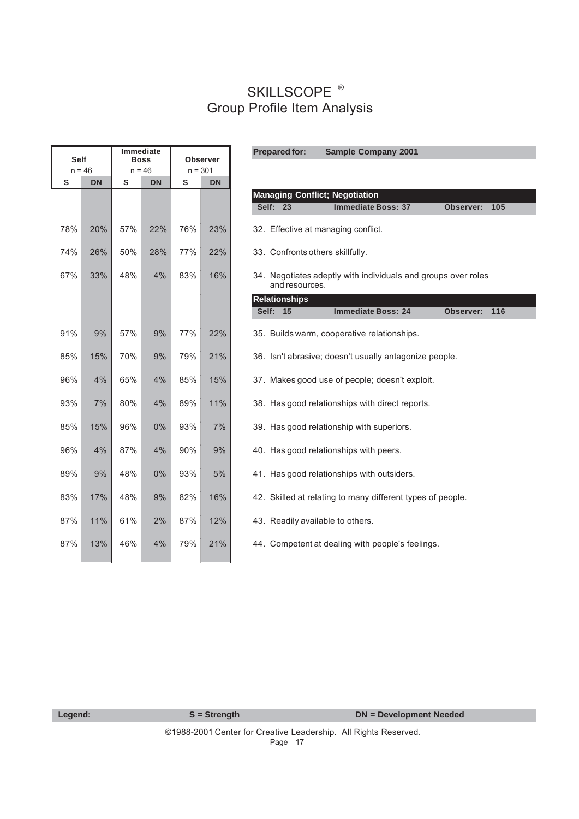| <b>Immediate</b><br><b>Prepared for:</b><br><b>Sample Company 2001</b><br><b>Self</b><br><b>Boss</b><br><b>Observer</b> |           |     |           |           |           |                                                               |
|-------------------------------------------------------------------------------------------------------------------------|-----------|-----|-----------|-----------|-----------|---------------------------------------------------------------|
| $n = 46$                                                                                                                |           |     | $n = 46$  | $n = 301$ |           |                                                               |
| S                                                                                                                       | <b>DN</b> | S   | <b>DN</b> | S         | <b>DN</b> |                                                               |
|                                                                                                                         |           |     |           |           |           | <b>Managing Conflict; Negotiation</b>                         |
|                                                                                                                         |           |     |           |           |           | Self: 23<br><b>Immediate Boss: 37</b><br>Observer: 105        |
| 78%                                                                                                                     | 20%       | 57% | 22%       | 76%       | 23%       | 32. Effective at managing conflict.                           |
|                                                                                                                         |           |     |           |           |           |                                                               |
| 74%                                                                                                                     | 26%       | 50% | 28%       | 77%       | 22%       | 33. Confronts others skillfully.                              |
| 67%                                                                                                                     | 33%       | 48% | 4%        | 83%       | 16%       | 34. Negotiates adeptly with individuals and groups over roles |
|                                                                                                                         |           |     |           |           |           | and resources.                                                |
|                                                                                                                         |           |     |           |           |           | <b>Relationships</b>                                          |
|                                                                                                                         |           |     |           |           |           | Self: 15<br><b>Immediate Boss: 24</b><br>Observer: 116        |
| 91%                                                                                                                     | 9%        | 57% | 9%        | 77%       | 22%       | 35. Builds warm, cooperative relationships.                   |
|                                                                                                                         |           |     |           |           |           |                                                               |
| 85%                                                                                                                     | 15%       | 70% | 9%        | 79%       | 21%       | 36. Isn't abrasive; doesn't usually antagonize people.        |
| 96%                                                                                                                     | 4%        | 65% | 4%        | 85%       | 15%       | 37. Makes good use of people; doesn't exploit.                |
|                                                                                                                         |           |     |           |           |           |                                                               |
| 93%                                                                                                                     | 7%        | 80% | 4%        | 89%       | 11%       | 38. Has good relationships with direct reports.               |
| 85%                                                                                                                     | 15%       | 96% | $0\%$     | 93%       | 7%        | 39. Has good relationship with superiors.                     |
|                                                                                                                         |           |     |           |           |           |                                                               |
| 96%                                                                                                                     | 4%        | 87% | 4%        | 90%       | 9%        | 40. Has good relationships with peers.                        |
| 89%                                                                                                                     | 9%        | 48% | 0%        | 93%       | 5%        | 41. Has good relationships with outsiders.                    |
|                                                                                                                         |           |     |           |           |           |                                                               |
| 83%                                                                                                                     | 17%       | 48% | 9%        | 82%       | 16%       | 42. Skilled at relating to many different types of people.    |
| 87%                                                                                                                     | 11%       | 61% | 2%        | 87%       | 12%       | 43. Readily available to others.                              |
|                                                                                                                         |           |     |           |           |           |                                                               |
| 87%                                                                                                                     | 13%       | 46% | 4%        | 79%       | 21%       | 44. Competent at dealing with people's feelings.              |
|                                                                                                                         |           |     |           |           |           |                                                               |

 **Legend:** S = Strength DN = Development Needed

Page 17 ©1988-2001 Center for Creative Leadership. All Rights Reserved.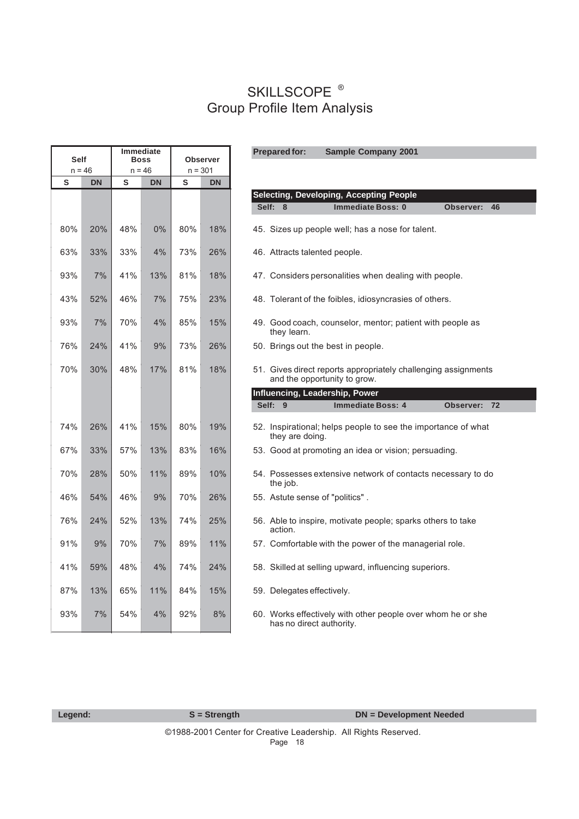| <b>Self</b> |           | <b>Immediate</b><br><b>Prepared for:</b><br><b>Sample Company 2001</b><br><b>Boss</b><br><b>Observer</b> |           |     |           |                                                                                                |  |  |
|-------------|-----------|----------------------------------------------------------------------------------------------------------|-----------|-----|-----------|------------------------------------------------------------------------------------------------|--|--|
|             | $n = 46$  |                                                                                                          | $n = 46$  |     | $n = 301$ |                                                                                                |  |  |
| S           | <b>DN</b> | S                                                                                                        | <b>DN</b> | S   | <b>DN</b> |                                                                                                |  |  |
|             |           |                                                                                                          |           |     |           | <b>Selecting, Developing, Accepting People</b>                                                 |  |  |
|             |           |                                                                                                          |           |     |           | Self: 8<br><b>Immediate Boss: 0</b><br>Observer:<br>46                                         |  |  |
| 80%         | 20%       | 48%                                                                                                      | 0%        | 80% | 18%       | 45. Sizes up people well; has a nose for talent.                                               |  |  |
| 63%         | 33%       | 33%                                                                                                      | 4%        | 73% | 26%       | 46. Attracts talented people.                                                                  |  |  |
| 93%         | 7%        | 41%                                                                                                      | 13%       | 81% | 18%       | 47. Considers personalities when dealing with people.                                          |  |  |
| 43%         | 52%       | 46%                                                                                                      | 7%        | 75% | 23%       | 48. Tolerant of the foibles, idiosyncrasies of others.                                         |  |  |
| 93%         | 7%        | 70%                                                                                                      | 4%        | 85% | 15%       | 49. Good coach, counselor, mentor; patient with people as<br>they learn.                       |  |  |
| 76%         | 24%       | 41%                                                                                                      | 9%        | 73% | 26%       | 50. Brings out the best in people.                                                             |  |  |
| 70%         | 30%       | 48%                                                                                                      | 17%       | 81% | 18%       | 51. Gives direct reports appropriately challenging assignments<br>and the opportunity to grow. |  |  |
|             |           |                                                                                                          |           |     |           | Influencing, Leadership, Power                                                                 |  |  |
|             |           |                                                                                                          |           |     |           | Self: 9<br><b>Immediate Boss: 4</b><br>Observer: 72                                            |  |  |
| 74%         | 26%       | 41%                                                                                                      | 15%       | 80% | 19%       | 52. Inspirational; helps people to see the importance of what<br>they are doing.               |  |  |
| 67%         | 33%       | 57%                                                                                                      | 13%       | 83% | 16%       | 53. Good at promoting an idea or vision; persuading.                                           |  |  |
| 70%         | 28%       | 50%                                                                                                      | 11%       | 89% | 10%       | 54. Possesses extensive network of contacts necessary to do<br>the job.                        |  |  |
| 46%         | 54%       | 46%                                                                                                      | 9%        | 70% | 26%       | 55. Astute sense of "politics".                                                                |  |  |
| 76%         | 24%       | 52%                                                                                                      | 13%       | 74% | 25%       | 56. Able to inspire, motivate people; sparks others to take<br>action.                         |  |  |
| 91%         | 9%        | 70%                                                                                                      | 7%        | 89% | 11%       | 57. Comfortable with the power of the managerial role.                                         |  |  |
| 41%         | 59%       | 48%                                                                                                      | 4%        | 74% | 24%       | 58. Skilled at selling upward, influencing superiors.                                          |  |  |
| 87%         | 13%       | 65%                                                                                                      | 11%       | 84% | 15%       | 59. Delegates effectively.                                                                     |  |  |
| 93%         | 7%        | 54%                                                                                                      | 4%        | 92% | 8%        | 60. Works effectively with other people over whom he or she<br>has no direct authority.        |  |  |

| Legend: |  |  |  |
|---------|--|--|--|
|         |  |  |  |
|         |  |  |  |

Page 18 ©1988-2001 Center for Creative Leadership. All Rights Reserved.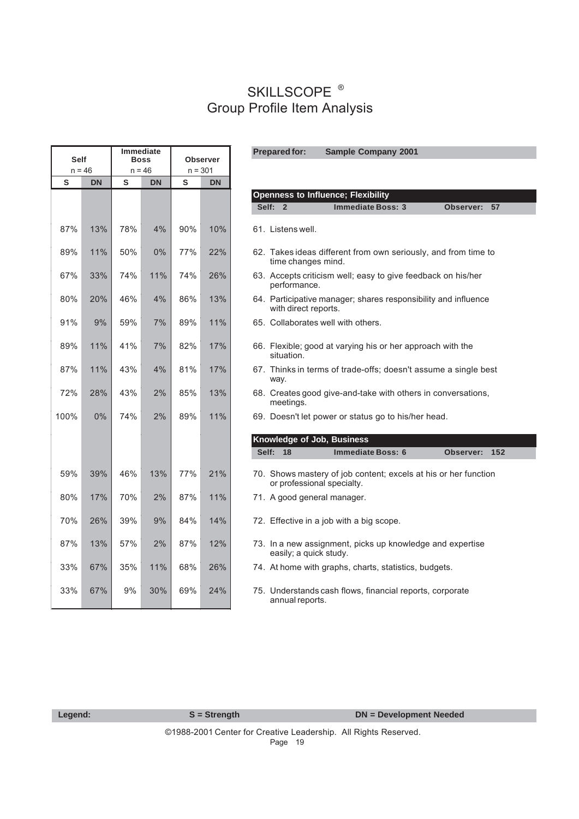**Prepared for:**

| <b>Self</b><br>$n = 46$ |           | <b>Immediate</b><br><b>Boss</b><br>$n = 46$ |           | <b>Observer</b><br>$n = 301$ |     |  |  |
|-------------------------|-----------|---------------------------------------------|-----------|------------------------------|-----|--|--|
| S                       | <b>DN</b> | S                                           | <b>DN</b> | S<br><b>DN</b>               |     |  |  |
|                         |           |                                             |           |                              |     |  |  |
| 87%                     | 13%       | 78%                                         | 4%        | 90%                          | 10% |  |  |
| 89%                     | 11%       | 50%                                         | 0%        | 77%                          | 22% |  |  |
| 67%                     | 33%       | 74%                                         | 11%       | 74%                          | 26% |  |  |
| 80%                     | 20%       | 46%                                         | 4%        | 86%                          | 13% |  |  |
| 91%                     | 9%        | 59%                                         | 7%        | 89%                          | 11% |  |  |
| 89%                     | 11%       | 41%                                         | 7%        | 82%                          | 17% |  |  |
| 87%                     | 11%       | 43%                                         | 4%        | 81%                          | 17% |  |  |
| 72%                     | 28%       | 43%                                         | 2%        | 85%                          | 13% |  |  |
| 100%                    | 0%        | 74%                                         | 2%        | 89%                          | 11% |  |  |
|                         |           |                                             |           |                              |     |  |  |
| 59%                     | 39%       | 46%                                         | 13%       | 77%                          | 21% |  |  |
| 80%                     | 17%       | 70%                                         | 2%        | 87%                          | 11% |  |  |
| 70%                     | 26%       | 39%                                         | 9%        | 84%                          | 14% |  |  |
| 87%                     | 13%       | 57%                                         | 2%        | 87%                          | 12% |  |  |
| 33%                     | 67%       | 35%                                         | 11%       | 68%                          | 26% |  |  |
| 33%                     | 67%       | 9%                                          | 30%       | 69%                          | 24% |  |  |

**Openness to Influence; Flexibility Self: 2** Immediate Boss: 3 Observer: 57 61. Listens well. 62. Takes ideas different from own seriously, and from time to time changes mind. 63. Accepts criticism well; easy to give feedback on his/her performance. 64. Participative manager; shares responsibility and influence with direct reports. 65. Collaborates well with others. 66. Flexible; good at varying his or her approach with the situation. 67. Thinks in terms of trade-offs; doesn't assume a single best way. 68. Creates good give-and-take with others in conversations, meetings. 100% 0% 74% 2% 89% 11% 69. Doesn't let power or status go to his/her head. **Knowledge of Job, Business** Self: 18 **Immediate Boss: 6 0bserver: 152** 70. Shows mastery of job content; excels at his or her function or professional specialty. 71. A good general manager. 72. Effective in a job with a big scope. 73. In a new assignment, picks up knowledge and expertise easily; a quick study. 74. At home with graphs, charts, statistics, budgets. 75. Understands cash flows, financial reports, corporate annual reports.

**Sample Company 2001**

| I O | lend | 4. L |
|-----|------|------|
|     |      |      |

**S** = Strength DN = Development Needed

Page 19 ©1988-2001 Center for Creative Leadership. All Rights Reserved.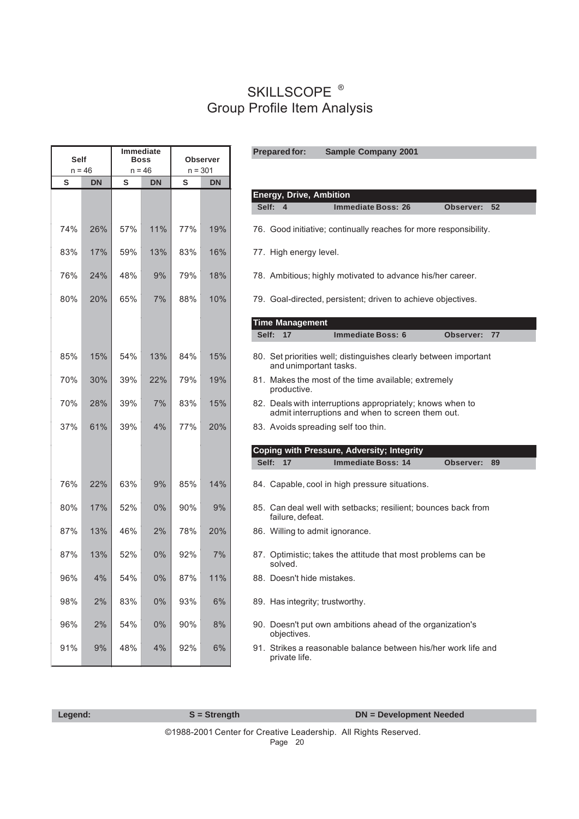| <b>Self</b><br>$n = 46$ |           | <b>Boss</b><br>$n = 46$ | <b>Immediate</b> | $n = 301$ | <b>Observer</b> |
|-------------------------|-----------|-------------------------|------------------|-----------|-----------------|
| S                       | <b>DN</b> | ${\sf S}$               | <b>DN</b>        | S         | <b>DN</b>       |
|                         |           |                         |                  |           |                 |
| 74%                     | 26%       | 57%                     | 11%              | 77%       | 19%             |
| 83%                     | 17%       | 59%                     | 13%              | 83%       | 16%             |
| 76%                     | 24%       | 48%                     | 9%               | 79%       | 18%             |
| 80%                     | 20%       | 65%                     | 7%               | 88%       | 10%             |
|                         |           |                         |                  |           |                 |
| 85%                     | 15%       | 54%                     | 13%              | 84%       | 15%             |
| 70%                     | 30%       | 39%                     | 22%              | 79%       | 19%             |
| 70%                     | 28%       | 39%                     | 7%               | 83%       | 15%             |
| 37%                     | 61%       | 39%                     | 4%               | 77%       | 20%             |
|                         |           |                         |                  |           |                 |
|                         |           |                         |                  |           |                 |
| 76%                     | 22%       | 63%                     | 9%               | 85%       | 14%             |
| 80%                     | 17%       | 52%                     | 0%               | 90%       | 9%              |
| 87%                     | 13%       | 46%                     | 2%               | 78%       | 20%             |
| 87%                     | 13%       | 52%                     | 0%               | 92%       | 7%              |
| 96%                     | 4%        | 54%                     | $0\%$            | 87%       | 11%             |
| 98%                     | 2%        | 83%                     | 0%               | 93%       | 6%              |
| 96%                     | 2%        | 54%                     | 0%               | 90%       | 8%              |
| 91%                     | 9%        | 48%                     | 4%               | 92%       | 6%              |

| Legend: | $S =$ Strength | <b>DN</b> = Development Needed |  |  |
|---------|----------------|--------------------------------|--|--|
|         |                |                                |  |  |

Page 20 ©1988-2001 Center for Creative Leadership. All Rights Reserved.